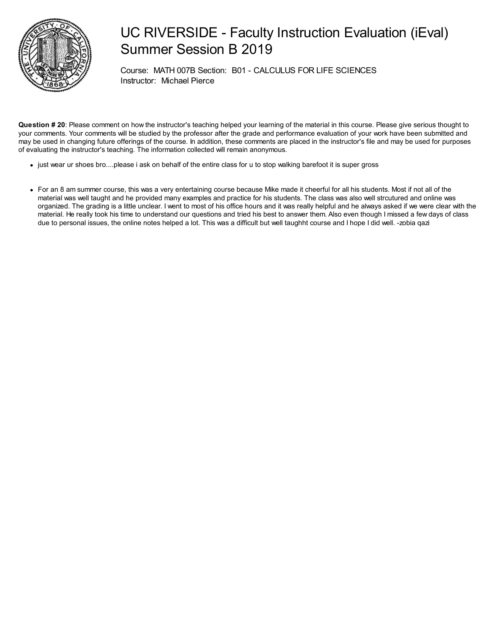

## UC RIVERSIDE - Faculty Instruction Evaluation (iEval) Summer Session B 2019

Course: MATH 007B Section: B01 - CALCULUS FOR LIFE SCIENCES Instructor: Michael Pierce

**Question # 20**: Please comment on how the instructor's teaching helped your learning of the material in this course. Please give serious thought to your comments. Your comments will be studied by the professor after the grade and performance evaluation of your work have been submitted and may be used in changing future offerings of the course. In addition, these comments are placed in the instructor's file and may be used for purposes of evaluating the instructor's teaching. The information collected will remain anonymous.

- just wear ur shoes bro....please i ask on behalf of the entire class for u to stop walking barefoot it is super gross
- For an 8 am summer course, this was a very entertaining course because Mike made it cheerful for all his students. Most if not all of the material was well taught and he provided many examples and practice for his students. The class was also well strcutured and online was organized. The grading is a little unclear. I went to most of his office hours and it was really helpful and he always asked if we were clear with the material. He really took his time to understand our questions and tried his best to answer them. Also even though I missed a few days of class due to personal issues, the online notes helped a lot. This was a difficult but well taughht course and I hope I did well. -zobia qazi